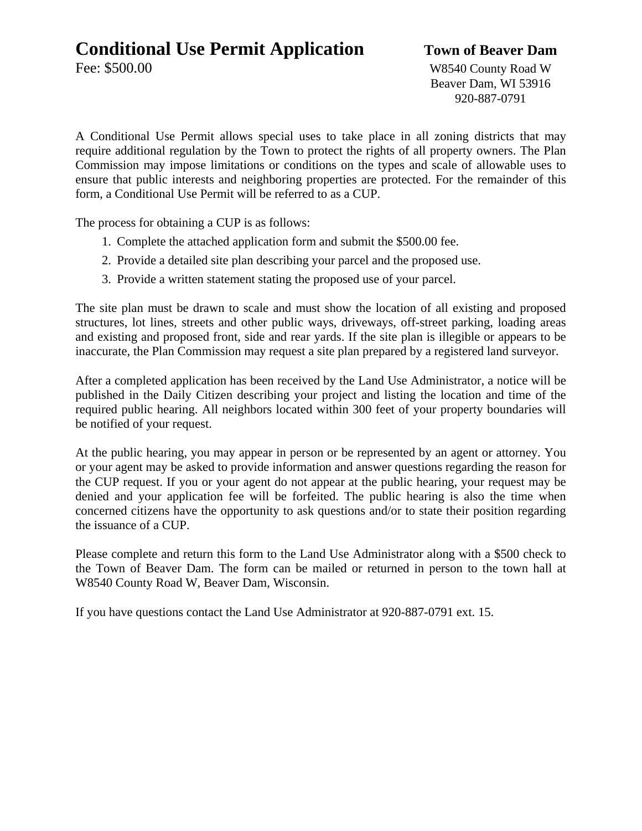## **Conditional Use Permit Application Town of Beaver Dam**

Fee: \$500.00 W8540 County Road W Beaver Dam, WI 53916 920-887-0791

A Conditional Use Permit allows special uses to take place in all zoning districts that may require additional regulation by the Town to protect the rights of all property owners. The Plan Commission may impose limitations or conditions on the types and scale of allowable uses to ensure that public interests and neighboring properties are protected. For the remainder of this form, a Conditional Use Permit will be referred to as a CUP.

The process for obtaining a CUP is as follows:

- 1. Complete the attached application form and submit the \$500.00 fee.
- 2. Provide a detailed site plan describing your parcel and the proposed use.
- 3. Provide a written statement stating the proposed use of your parcel.

The site plan must be drawn to scale and must show the location of all existing and proposed structures, lot lines, streets and other public ways, driveways, off-street parking, loading areas and existing and proposed front, side and rear yards. If the site plan is illegible or appears to be inaccurate, the Plan Commission may request a site plan prepared by a registered land surveyor.

After a completed application has been received by the Land Use Administrator, a notice will be published in the Daily Citizen describing your project and listing the location and time of the required public hearing. All neighbors located within 300 feet of your property boundaries will be notified of your request.

At the public hearing, you may appear in person or be represented by an agent or attorney. You or your agent may be asked to provide information and answer questions regarding the reason for the CUP request. If you or your agent do not appear at the public hearing, your request may be denied and your application fee will be forfeited. The public hearing is also the time when concerned citizens have the opportunity to ask questions and/or to state their position regarding the issuance of a CUP.

Please complete and return this form to the Land Use Administrator along with a \$500 check to the Town of Beaver Dam. The form can be mailed or returned in person to the town hall at W8540 County Road W, Beaver Dam, Wisconsin.

If you have questions contact the Land Use Administrator at 920-887-0791 ext. 15.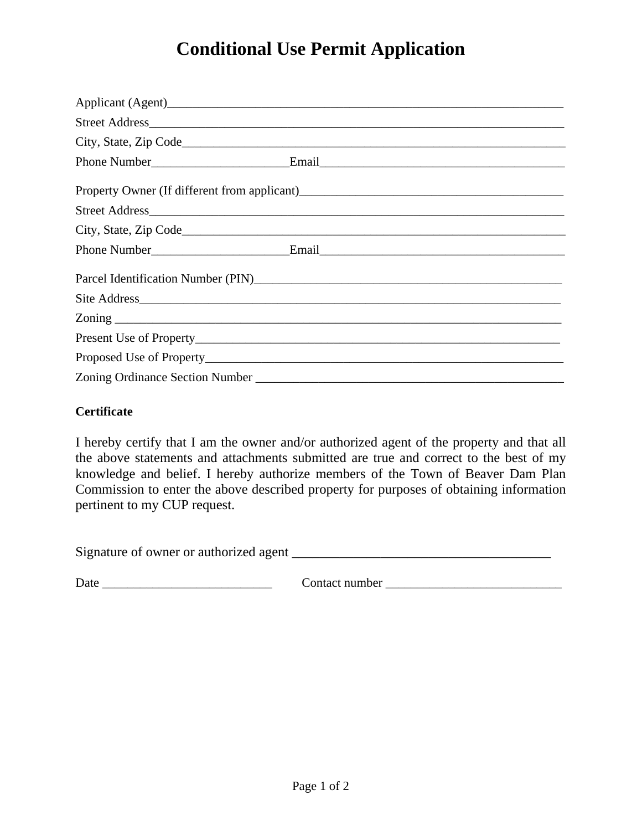# **Conditional Use Permit Application**

### **Certificate**

I hereby certify that I am the owner and/or authorized agent of the property and that all the above statements and attachments submitted are true and correct to the best of my knowledge and belief. I hereby authorize members of the Town of Beaver Dam Plan Commission to enter the above described property for purposes of obtaining information pertinent to my CUP request.

| Signature of owner or authorized agent |  |
|----------------------------------------|--|
|                                        |  |